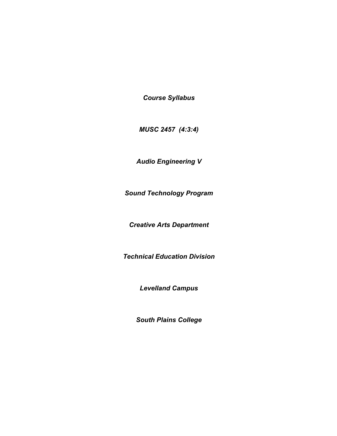*Course Syllabus*

*MUSC 2457 (4:3:4)*

*Audio Engineering V*

*Sound Technology Program*

*Creative Arts Department*

*Technical Education Division*

*Levelland Campus*

*South Plains College*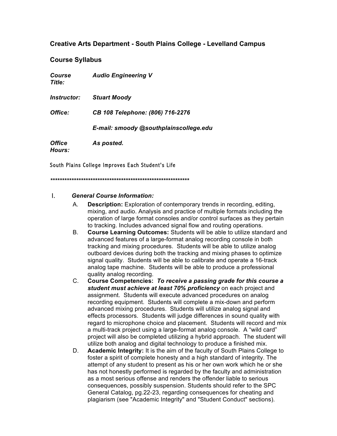# **Creative Arts Department - South Plains College - Levelland Campus**

## **Course Syllabus**

| Course<br>Title:                      | <b>Audio Engineering V</b>             |  |
|---------------------------------------|----------------------------------------|--|
| Instructor:                           | <b>Stuart Moody</b>                    |  |
| Office:                               | CB 108 Telephone: (806) 716-2276       |  |
|                                       | E-mail: smoody @southplainscollege.edu |  |
| <i><b>Office</b></i><br><b>Hours:</b> | As posted.                             |  |

South Plains College Improves Each Student's Life

*\*\*\*\*\*\*\*\*\*\*\*\*\*\*\*\*\*\*\*\*\*\*\*\*\*\*\*\*\*\*\*\*\*\*\*\*\*\*\*\*\*\*\*\*\*\*\*\*\*\*\*\*\*\*\*\*\*\*\**

## I. *General Course Information:*

- A. **Description:** Exploration of contemporary trends in recording, editing, mixing, and audio. Analysis and practice of multiple formats including the operation of large format consoles and/or control surfaces as they pertain to tracking. Includes advanced signal flow and routing operations.
- B. **Course Learning Outcomes:** Students will be able to utilize standard and advanced features of a large-format analog recording console in both tracking and mixing procedures. Students will be able to utilize analog outboard devices during both the tracking and mixing phases to optimize signal quality. Students will be able to calibrate and operate a 16-track analog tape machine. Students will be able to produce a professional quality analog recording.
- C. **Course Competencies:** *To receive a passing grade for this course a student must achieve at least 70% proficiency* on each project and assignment. Students will execute advanced procedures on analog recording equipment. Students will complete a mix-down and perform advanced mixing procedures. Students will utilize analog signal and effects processors. Students will judge differences in sound quality with regard to microphone choice and placement. Students will record and mix a multi-track project using a large-format analog console. A "wild card" project will also be completed utilizing a hybrid approach. The student will utilize both analog and digital technology to produce a finished mix.
- D. **Academic Integrity:** It is the aim of the faculty of South Plains College to foster a spirit of complete honesty and a high standard of integrity. The attempt of any student to present as his or her own work which he or she has not honestly performed is regarded by the faculty and administration as a most serious offense and renders the offender liable to serious consequences, possibly suspension. Students should refer to the SPC General Catalog, pg.22-23, regarding consequences for cheating and plagiarism (see "Academic Integrity" and "Student Conduct" sections).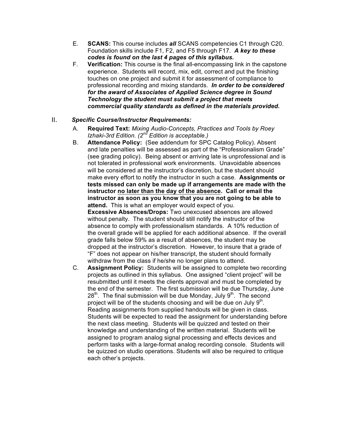- E. **SCANS:** This course includes *all* SCANS competencies C1 through C20. Foundation skills include F1, F2, and F5 through F17. *A key to these codes is found on the last 4 pages of this syllabus.*
- F. **Verification:** This course is the final all-encompassing link in the capstone experience. Students will record, mix, edit, correct and put the finishing touches on one project and submit it for assessment of compliance to professional recording and mixing standards. *In order to be considered for the award of Associates of Applied Science degree in Sound Technology the student must submit a project that meets commercial quality standards as defined in the materials provided.*

# II. *Specific Course/Instructor Requirements:*

- A. **Required Text:** *Mixing Audio-Concepts, Practices and Tools by Roey Izhaki-3rd Edition. (2nd Edition is acceptable.)*
- B. **Attendance Policy:** (See addendum for SPC Catalog Policy). Absent and late penalties will be assessed as part of the "Professionalism Grade" (see grading policy). Being absent or arriving late is unprofessional and is not tolerated in professional work environments. Unavoidable absences will be considered at the instructor's discretion, but the student should make every effort to notify the instructor in such a case. **Assignments or tests missed can only be made up if arrangements are made with the instructor no later than the day of the absence. Call or email the instructor as soon as you know that you are not going to be able to attend.** This is what an employer would expect of you.

**Excessive Absences/Drops:** Two unexcused absences are allowed without penalty. The student should still notify the instructor of the absence to comply with professionalism standards. A 10% reduction of the overall grade will be applied for each additional absence. If the overall grade falls below 59% as a result of absences, the student may be dropped at the instructor's discretion. However, to insure that a grade of "F" does not appear on his/her transcript, the student should formally withdraw from the class if he/she no longer plans to attend.

C. **Assignment Policy:** Students will be assigned to complete two recording projects as outlined in this syllabus. One assigned "client project" will be resubmitted until it meets the clients approval and must be completed by the end of the semester. The first submission will be due Thursday, June  $28<sup>th</sup>$ . The final submission will be due Monday, July  $9<sup>th</sup>$ . The second project will be of the students choosing and will be due on July  $9<sup>th</sup>$ . Reading assignments from supplied handouts will be given in class. Students will be expected to read the assignment for understanding before the next class meeting. Students will be quizzed and tested on their knowledge and understanding of the written material. Students will be assigned to program analog signal processing and effects devices and perform tasks with a large-format analog recording console. Students will be quizzed on studio operations. Students will also be required to critique each other's projects.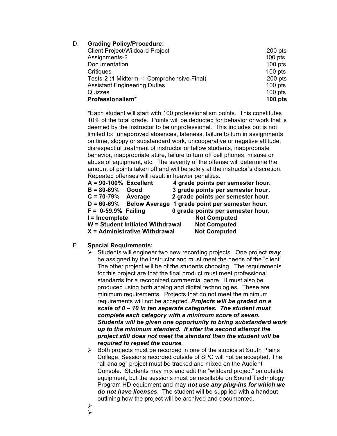# D. **Grading Policy/Procedure:**

| <b>Client Project/Wildcard Project</b>     | $200$ pts |
|--------------------------------------------|-----------|
| Assignments-2                              | $100$ pts |
| Documentation                              | $100$ pts |
| Critiques                                  | $100$ pts |
| Tests-2 (1 Midterm -1 Comprehensive Final) | $200$ pts |
| <b>Assistant Engineering Duties</b>        | $100$ pts |
| Quizzes                                    | $100$ pts |
| Professionalism*                           | $100$ pts |

\*Each student will start with 100 professionalism points. This constitutes 10% of the total grade. Points will be deducted for behavior or work that is deemed by the instructor to be unprofessional. This includes but is not limited to: unapproved absences, lateness, failure to turn in assignments on time, sloppy or substandard work, uncooperative or negative attitude, disrespectful treatment of instructor or fellow students, inappropriate behavior, inappropriate attire, failure to turn off cell phones, misuse or abuse of equipment, etc. The severity of the offense will determine the amount of points taken off and will be solely at the instructor's discretion. Repeated offenses will result in heavier penalties.

| $A = 90-100%$ Excellent          |                               |  | 4 grade points per semester hour. |
|----------------------------------|-------------------------------|--|-----------------------------------|
| $B = 80 - 89%$                   | Good                          |  | 3 grade points per semester hour. |
| $C = 70-79%$ Average             |                               |  | 2 grade points per semester hour. |
|                                  | $D = 60 - 69\%$ Below Average |  | 1 grade point per semester hour.  |
| $F = 0.59.9%$ Failing            |                               |  | 0 grade points per semester hour. |
| I = Incomplete                   |                               |  | <b>Not Computed</b>               |
| W = Student Initiated Withdrawal |                               |  | <b>Not Computed</b>               |
| X = Administrative Withdrawal    |                               |  | <b>Not Computed</b>               |

## E. **Special Requirements:**

- ! Students will engineer two new recording projects. One project *may* be assigned by the instructor and must meet the needs of the "client". The other project will be of the students choosing. The requirements for this project are that the final product must meet professional standards for a recognized commercial genre. It must also be produced using both analog and digital technologies. These are minimum requirements. Projects that do not meet the minimum requirements will not be accepted. *Projects will be graded on a scale of 0 – 10 in ten separate categories. The student must complete each category with a minimum score of seven. Students will be given one opportunity to bring substandard work up to the minimum standard. If after the second attempt the project still does not meet the standard then the student will be required to repeat the course*.
- $\triangleright$  Both projects must be recorded in one of the studios at South Plains College. Sessions recorded outside of SPC will not be accepted. The "all analog" project must be tracked and mixed on the Audient Console. Students may mix and edit the "wildcard project" on outside equipment, but the sessions must be recallable on Sound Technology Program HD equipment and may *not use any plug-ins for which we do not have licenses*. The student will be supplied with a handout outlining how the project will be archived and documented.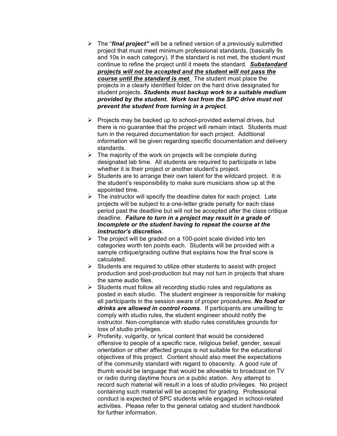- ! The "*final project"* will be a refined version of a previously submitted project that must meet minimum professional standards, (basically 9s and 10s in each category). If the standard is not met, the student must continue to refine the project until it meets the standard. *Substandard projects will not be accepted and the student will not pass the course until the standard is met.* The student must place the projects in a clearly identified folder on the hard drive designated for student projects. *Students must backup work to a suitable medium provided by the student. Work lost from the SPC drive must not prevent the student from turning in a project.*
- $\triangleright$  Projects may be backed up to school-provided external drives, but there is no guarantee that the project will remain intact. Students must turn in the required documentation for each project. Additional information will be given regarding specific documentation and delivery standards.
- $\triangleright$  The majority of the work on projects will be complete during designated lab time. All students are required to participate in labs whether it is their project or another student's project.
- $\triangleright$  Students are to arrange their own talent for the wildcard project. It is the student's responsibility to make sure musicians show up at the appointed time.
- $\triangleright$  The instructor will specify the deadline dates for each project. Late projects will be subject to a one-letter grade penalty for each class period past the deadline but will not be accepted after the class critique deadline. *Failure to turn in a project may result in a grade of Incomplete or the student having to repeat the course at the instructor's discretion.*
- $\triangleright$  The project will be graded on a 100-point scale divided into ten categories worth ten points each. Students will be provided with a sample critique/grading outline that explains how the final score is calculated.
- $\triangleright$  Students are required to utilize other students to assist with project production and post-production but may not turn in projects that share the same audio files.
- $\triangleright$  Students must follow all recording studio rules and regulations as posted in each studio. The student engineer is responsible for making all participants in the session aware of proper procedures. *No food or drinks are allowed in control rooms*. If participants are unwilling to comply with studio rules, the student engineer should notify the instructor. Non-compliance with studio rules constitutes grounds for loss of studio privileges.
- $\triangleright$  Profanity, vulgarity, or lyrical content that would be considered offensive to people of a specific race, religious belief, gender, sexual orientation or other affected groups is not suitable for the educational objectives of this project. Content should also meet the expectations of the community standard with regard to obscenity. A good rule of thumb would be language that would be allowable to broadcast on TV or radio during daytime hours on a public station. Any attempt to record such material will result in a loss of studio privileges. No project containing such material will be accepted for grading. Professional conduct is expected of SPC students while engaged in school-related activities. Please refer to the general catalog and student handbook for further information.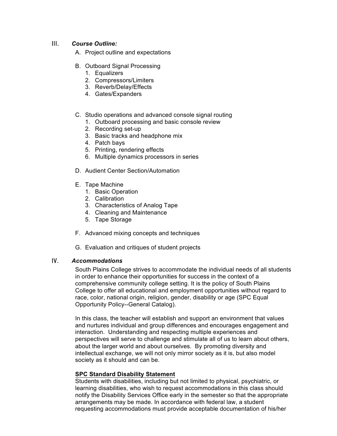## III. *Course Outline:*

- A. Project outline and expectations
- B. Outboard Signal Processing
	- 1. Equalizers
	- 2. Compressors/Limiters
	- 3. Reverb/Delay/Effects
	- 4. Gates/Expanders

## C. Studio operations and advanced console signal routing

- 1. Outboard processing and basic console review
- 2. Recording set-up
- 3. Basic tracks and headphone mix
- 4. Patch bays
- 5. Printing, rendering effects
- 6. Multiple dynamics processors in series
- D. Audient Center Section/Automation
- E. Tape Machine
	- 1. Basic Operation
	- 2. Calibration
	- 3. Characteristics of Analog Tape
	- 4. Cleaning and Maintenance
	- 5. Tape Storage
- F. Advanced mixing concepts and techniques
- G. Evaluation and critiques of student projects

## IV. *Accommodations*

South Plains College strives to accommodate the individual needs of all students in order to enhance their opportunities for success in the context of a comprehensive community college setting. It is the policy of South Plains College to offer all educational and employment opportunities without regard to race, color, national origin, religion, gender, disability or age (SPC Equal Opportunity Policy--General Catalog).

In this class, the teacher will establish and support an environment that values and nurtures individual and group differences and encourages engagement and interaction. Understanding and respecting multiple experiences and perspectives will serve to challenge and stimulate all of us to learn about others, about the larger world and about ourselves. By promoting diversity and intellectual exchange, we will not only mirror society as it is, but also model society as it should and can be.

## **SPC Standard Disability Statement**

Students with disabilities, including but not limited to physical, psychiatric, or learning disabilities, who wish to request accommodations in this class should notify the Disability Services Office early in the semester so that the appropriate arrangements may be made. In accordance with federal law, a student requesting accommodations must provide acceptable documentation of his/her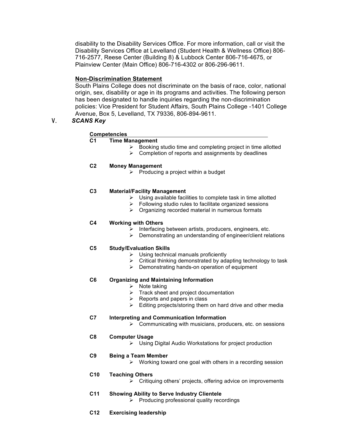disability to the Disability Services Office. For more information, call or visit the Disability Services Office at Levelland (Student Health & Wellness Office) 806- 716-2577, Reese Center (Building 8) & Lubbock Center 806-716-4675, or Plainview Center (Main Office) 806-716-4302 or 806-296-9611.

## **Non-Discrimination Statement**

South Plains College does not discriminate on the basis of race, color, national origin, sex, disability or age in its programs and activities. The following person has been designated to handle inquiries regarding the non-discrimination policies: Vice President for Student Affairs, South Plains College -1401 College Avenue, Box 5, Levelland, TX 79336, 806-894-9611.

V. *SCANS Key*

## **Competencies**

## **C1 Time Management**

- $\triangleright$  Booking studio time and completing project in time allotted
- $\triangleright$  Completion of reports and assignments by deadlines

#### **C2 Money Management**

 $\triangleright$  Producing a project within a budget

### **C3 Material/Facility Management**

- $\triangleright$  Using available facilities to complete task in time allotted
- $\triangleright$  Following studio rules to facilitate organized sessions
- $\triangleright$  Organizing recorded material in numerous formats

#### **C4 Working with Others**

- $\triangleright$  Interfacing between artists, producers, engineers, etc.
- $\triangleright$  Demonstrating an understanding of engineer/client relations

#### **C5 Study/Evaluation Skills**

- $\triangleright$  Using technical manuals proficiently
- $\triangleright$  Critical thinking demonstrated by adapting technology to task
- $\triangleright$  Demonstrating hands-on operation of equipment

#### **C6 Organizing and Maintaining Information**

- $\triangleright$  Note taking
- $\triangleright$  Track sheet and project documentation
- $\triangleright$  Reports and papers in class
- $\triangleright$  Editing projects/storing them on hard drive and other media

## **C7 Interpreting and Communication Information**

 $\triangleright$  Communicating with musicians, producers, etc. on sessions

#### **C8 Computer Usage**

 $\triangleright$  Using Digital Audio Workstations for project production

## **C9 Being a Team Member**

 $\triangleright$  Working toward one goal with others in a recording session

## **C10 Teaching Others**

- $\triangleright$  Critiquing others' projects, offering advice on improvements
- **C11 Showing Ability to Serve Industry Clientele**
	- $\triangleright$  Producing professional quality recordings
- **C12 Exercising leadership**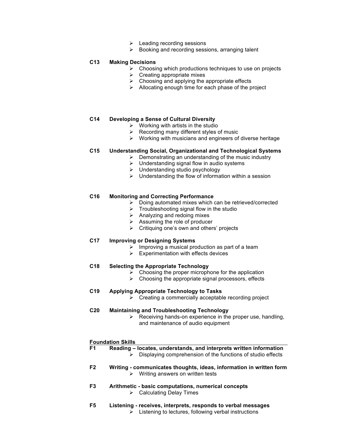- $\triangleright$  Leading recording sessions
- $\triangleright$  Booking and recording sessions, arranging talent

#### **C13 Making Decisions**

- $\triangleright$  Choosing which productions techniques to use on projects
- $\triangleright$  Creating appropriate mixes
- $\triangleright$  Choosing and applying the appropriate effects
- $\triangleright$  Allocating enough time for each phase of the project

#### **C14 Developing a Sense of Cultural Diversity**

- $\triangleright$  Working with artists in the studio
- $\triangleright$  Recording many different styles of music
- $\triangleright$  Working with musicians and engineers of diverse heritage

#### **C15 Understanding Social, Organizational and Technological Systems**

- $\triangleright$  Demonstrating an understanding of the music industry
- $\triangleright$  Understanding signal flow in audio systems
- $\triangleright$  Understanding studio psychology
- $\triangleright$  Understanding the flow of information within a session

#### **C16 Monitoring and Correcting Performance**

- $\triangleright$  Doing automated mixes which can be retrieved/corrected
- $\triangleright$  Troubleshooting signal flow in the studio
- $\triangleright$  Analyzing and redoing mixes
- $\triangleright$  Assuming the role of producer
- $\triangleright$  Critiquing one's own and others' projects

#### **C17 Improving or Designing Systems**

- $\triangleright$  Improving a musical production as part of a team
- $\triangleright$  Experimentation with effects devices

#### **C18 Selecting the Appropriate Technology**

- $\geq$  Choosing the proper microphone for the application
- $\triangleright$  Choosing the appropriate signal processors, effects

#### **C19 Applying Appropriate Technology to Tasks**

 $\triangleright$  Creating a commercially acceptable recording project

#### **C20 Maintaining and Troubleshooting Technology**

 $\triangleright$  Receiving hands-on experience in the proper use, handling, and maintenance of audio equipment

#### **Foundation Skills**

| F1 | Reading – locates, understands, and interprets written information<br>Displaying comprehension of the functions of studio effects |
|----|-----------------------------------------------------------------------------------------------------------------------------------|
| F2 | Writing - communicates thoughts, ideas, information in written form<br>$\triangleright$ Writing answers on written tests          |
| F3 | Arithmetic - basic computations, numerical concepts<br>$\triangleright$ Calculating Delay Times                                   |
| F5 | Listening - receives, interprets, responds to verbal messages                                                                     |

 $\triangleright$  Listening to lectures, following verbal instructions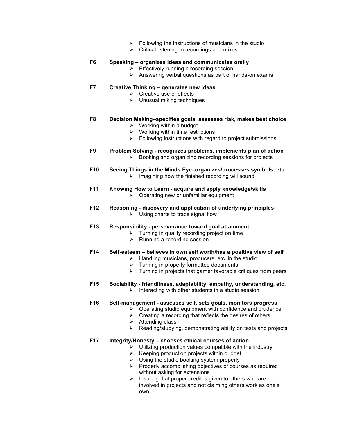- $\triangleright$  Following the instructions of musicians in the studio
- $\triangleright$  Critical listening to recordings and mixes

| F <sub>6</sub>  | Speaking - organizes ideas and communicates orally<br>Effectively running a recording session<br>Answering verbal questions as part of hands-on exams<br>≻                                                                                                                                                            |
|-----------------|-----------------------------------------------------------------------------------------------------------------------------------------------------------------------------------------------------------------------------------------------------------------------------------------------------------------------|
| F7              | Creative Thinking - generates new ideas<br>Creative use of effects<br>$\blacktriangleright$<br>Unusual miking techniques                                                                                                                                                                                              |
| F8              | Decision Making-specifies goals, assesses risk, makes best choice<br>$\triangleright$ Working within a budget<br>$\triangleright$ Working within time restrictions<br>Following instructions with regard to project submissions<br>≻                                                                                  |
| F9              | Problem Solving - recognizes problems, implements plan of action<br>Booking and organizing recording sessions for projects<br>➤                                                                                                                                                                                       |
| F <sub>10</sub> | Seeing Things in the Minds Eye-organizes/processes symbols, etc.<br>Imagining how the finished recording will sound<br>➤                                                                                                                                                                                              |
| F11             | Knowing How to Learn - acquire and apply knowledge/skills<br>Operating new or unfamiliar equipment<br>≻                                                                                                                                                                                                               |
| F12             | Reasoning - discovery and application of underlying principles<br>$\triangleright$ Using charts to trace signal flow                                                                                                                                                                                                  |
| F <sub>13</sub> | Responsibility - perseverance toward goal attainment<br>Turning in quality recording project on time<br>≻<br>Running a recording session<br>≻                                                                                                                                                                         |
| F <sub>14</sub> | Self-esteem - believes in own self worth/has a positive view of self<br>Handling musicians, producers, etc. in the studio<br>≻<br>$\triangleright$ Turning in properly formatted documents<br>Turning in projects that garner favorable critiques from peers<br>≻                                                     |
| F <sub>15</sub> | Sociability - friendliness, adaptability, empathy, understanding, etc.<br>Interacting with other students in a studio session<br>➤                                                                                                                                                                                    |
| F16             | Self-management - assesses self, sets goals, monitors progress<br>$\triangleright$ Operating studio equipment with confidence and prudence<br>$\triangleright$ Creating a recording that reflects the desires of others<br>Attending class<br>➤<br>Reading/studying, demonstrating ability on tests and projects<br>⋗ |
| F17             | Integrity/Honesty - chooses ethical courses of action<br>Utilizing production values compatible with the industry<br>≻<br>Keeping production projects within budget<br>➤                                                                                                                                              |

- $\triangleright$  Using the studio booking system properly
- $\triangleright$  Properly accomplishing objectives of courses as required without asking for extensions
- $\triangleright$  Insuring that proper credit is given to others who are involved in projects and not claiming others work as one's own.